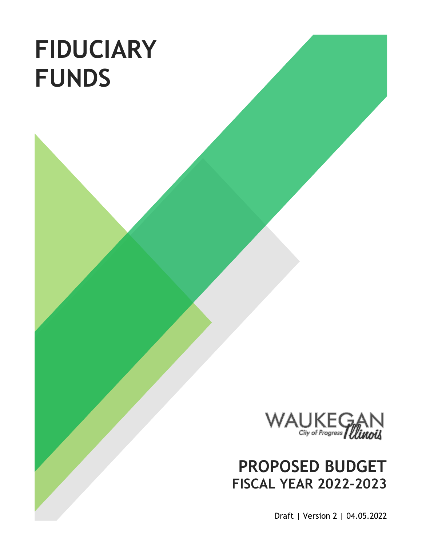# **FIDUCIARY FUNDS**



# **PROPOSED BUDGET FISCAL YEAR 2022-2023**

Draft | Version 2 | 04.05.2022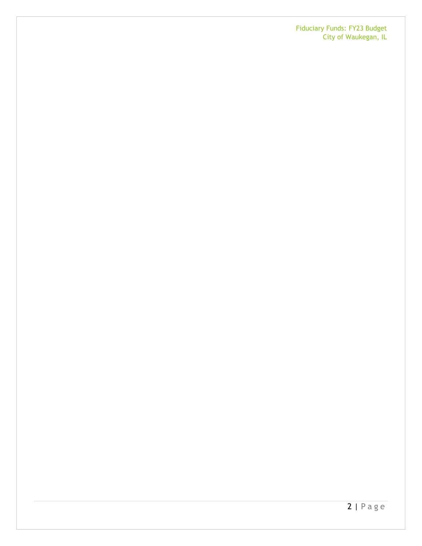#### Fiduciary Funds: FY23 Budget City of Waukegan, IL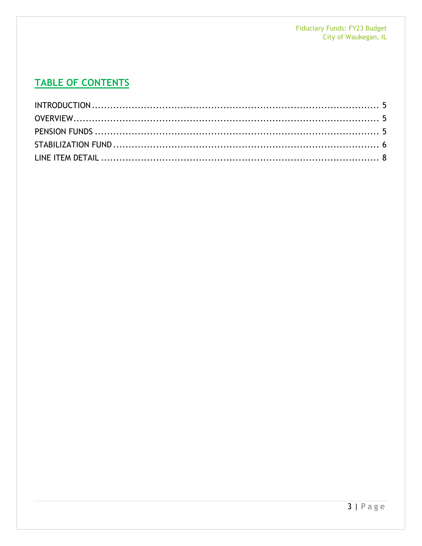# **TABLE OF CONTENTS**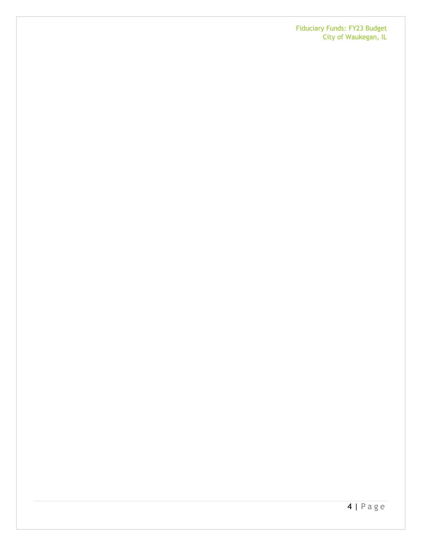#### Fiduciary Funds: FY23 Budget City of Waukegan, IL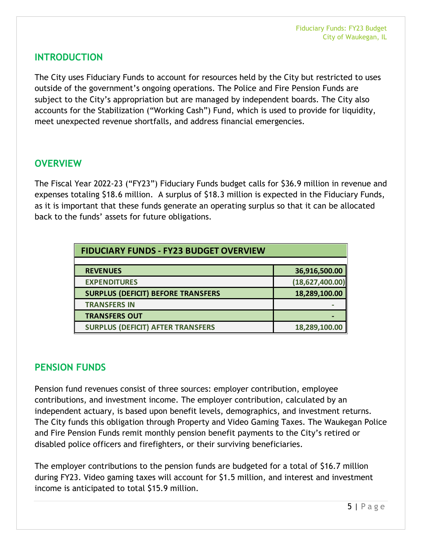## <span id="page-4-0"></span>**INTRODUCTION**

The City uses Fiduciary Funds to account for resources held by the City but restricted to uses outside of the government's ongoing operations. The Police and Fire Pension Funds are subject to the City's appropriation but are managed by independent boards. The City also accounts for the Stabilization ("Working Cash") Fund, which is used to provide for liquidity, meet unexpected revenue shortfalls, and address financial emergencies.

## <span id="page-4-1"></span>**OVERVIEW**

The Fiscal Year 2022-23 ("FY23") Fiduciary Funds budget calls for \$36.9 million in revenue and expenses totaling \$18.6 million. A surplus of \$18.3 million is expected in the Fiduciary Funds, as it is important that these funds generate an operating surplus so that it can be allocated back to the funds' assets for future obligations.

| <b>FIDUCIARY FUNDS - FY23 BUDGET OVERVIEW</b> |                 |
|-----------------------------------------------|-----------------|
|                                               |                 |
| <b>REVENUES</b>                               | 36,916,500.00   |
| <b>EXPENDITURES</b>                           | (18,627,400.00) |
| <b>SURPLUS (DEFICIT) BEFORE TRANSFERS</b>     | 18,289,100.00   |
| <b>TRANSFERS IN</b>                           |                 |
| <b>TRANSFERS OUT</b>                          |                 |
| <b>SURPLUS (DEFICIT) AFTER TRANSFERS</b>      | 18,289,100.00   |

#### <span id="page-4-2"></span>**PENSION FUNDS**

Pension fund revenues consist of three sources: employer contribution, employee contributions, and investment income. The employer contribution, calculated by an independent actuary, is based upon benefit levels, demographics, and investment returns. The City funds this obligation through Property and Video Gaming Taxes. The Waukegan Police and Fire Pension Funds remit monthly pension benefit payments to the City's retired or disabled police officers and firefighters, or their surviving beneficiaries.

The employer contributions to the pension funds are budgeted for a total of \$16.7 million during FY23. Video gaming taxes will account for \$1.5 million, and interest and investment income is anticipated to total \$15.9 million.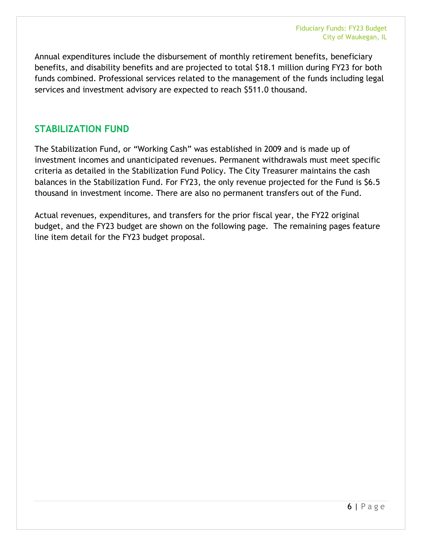Annual expenditures include the disbursement of monthly retirement benefits, beneficiary benefits, and disability benefits and are projected to total \$18.1 million during FY23 for both funds combined. Professional services related to the management of the funds including legal services and investment advisory are expected to reach \$511.0 thousand.

# <span id="page-5-0"></span>**STABILIZATION FUND**

The Stabilization Fund, or "Working Cash" was established in 2009 and is made up of investment incomes and unanticipated revenues. Permanent withdrawals must meet specific criteria as detailed in the Stabilization Fund Policy. The City Treasurer maintains the cash balances in the Stabilization Fund. For FY23, the only revenue projected for the Fund is \$6.5 thousand in investment income. There are also no permanent transfers out of the Fund.

Actual revenues, expenditures, and transfers for the prior fiscal year, the FY22 original budget, and the FY23 budget are shown on the following page. The remaining pages feature line item detail for the FY23 budget proposal.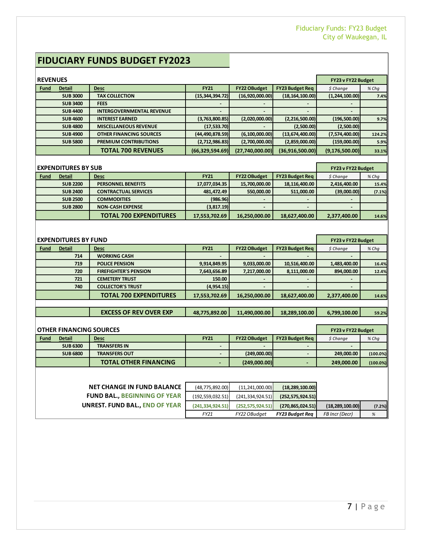# **FIDUCIARY FUNDS BUDGET FY2023**

#### **REVENUES**

| <b>REVENUES</b> |                 |                                  |                   |                     |                        | FY23 v FY22 Budget |         |
|-----------------|-----------------|----------------------------------|-------------------|---------------------|------------------------|--------------------|---------|
| <b>Fund</b>     | Detail          | <b>Desc</b>                      | <b>FY21</b>       | <b>FY22 OBudget</b> | <b>FY23 Budget Req</b> | \$ Change          | $%$ Chq |
|                 | <b>SUB 3000</b> | <b>TAX COLLECTION</b>            | (15, 344, 394.72) | (16,920,000.00)     | (18, 164, 100.00)      | (1,244,100.00)     | 7.4%    |
|                 | <b>SUB 3400</b> | <b>FEES</b>                      |                   |                     |                        |                    |         |
|                 | <b>SUB 4400</b> | <b>INTERGOVERNMENTAL REVENUE</b> |                   | $\qquad \qquad$     |                        |                    |         |
|                 | <b>SUB 4600</b> | <b>INTEREST EARNED</b>           | (3,763,800.85)    | (2,020,000.00)      | (2,216,500.00)         | (196, 500.00)      | 9.7%    |
|                 | <b>SUB 4800</b> | <b>MISCELLANEOUS REVENUE</b>     | (17,533.70)       |                     | (2,500.00)             | (2,500.00)         |         |
|                 | <b>SUB 4900</b> | <b>OTHER FINANCING SOURCES</b>   | (44, 490, 878.59) | (6,100,000.00)      | (13,674,400.00)        | (7,574,400.00)     | 124.2%  |
|                 | <b>SUB 5800</b> | <b>PREMIUM CONTRIBUTIONS</b>     | (2,712,986.83)    | (2,700,000.00)      | (2,859,000.00)         | (159,000.00)       | 5.9%    |
|                 |                 | <b>TOTAL 700 REVENUES</b>        | (66, 329, 594.69) | (27,740,000.00)     | (36, 916, 500.00)      | (9, 176, 500.00)   | 33.1%   |

| <b>EXPENDITURES BY SUB</b> | <b>FY23 v FY22 Budget</b> |                               |               |                     |                        |              |         |
|----------------------------|---------------------------|-------------------------------|---------------|---------------------|------------------------|--------------|---------|
| <b>Fund</b>                | Detail                    | <b>Desc</b>                   | <b>FY21</b>   | <b>FY22 OBudget</b> | <b>FY23 Budget Req</b> | \$ Change    | $%$ Chq |
|                            | <b>SUB 2200</b>           | <b>PERSONNEL BENEFITS</b>     | 17,077,034.35 | 15,700,000.00       | 18,116,400.00          | 2,416,400.00 | 15.4%   |
|                            | <b>SUB 2400</b>           | <b>CONTRACTUAL SERVICES</b>   | 481,472.49    | 550,000.00          | 511,000.00             | (39,000.00)  | (7.1%)  |
|                            | <b>SUB 2500</b>           | <b>COMMODITIES</b>            | (986.96)      |                     |                        |              |         |
|                            | <b>SUB 2800</b>           | <b>NON-CASH EXPENSE</b>       | (3,817.19)    |                     |                        |              |         |
|                            |                           | <b>TOTAL 700 EXPENDITURES</b> | 17,553,702.69 | 16,250,000.00       | 18,627,400.00          | 2,377,400.00 | 14.6%   |

|             | <b>EXPENDITURES BY FUND</b> | FY23 v FY22 Budget            |               |                     |                        |              |       |
|-------------|-----------------------------|-------------------------------|---------------|---------------------|------------------------|--------------|-------|
| <b>Fund</b> | <b>Detail</b>               | <b>Desc</b>                   | <b>FY21</b>   | <b>FY22 OBudget</b> | <b>FY23 Budget Req</b> | \$ Change    | % Chg |
|             | 714                         | <b>WORKING CASH</b>           |               |                     |                        |              |       |
|             | 719                         | <b>POLICE PENSION</b>         | 9,914,849.95  | 9,033,000.00        | 10,516,400.00          | 1,483,400.00 | 16.4% |
|             | 720                         | <b>FIREFIGHTER'S PENSION</b>  | 7,643,656.89  | 7,217,000.00        | 8,111,000.00           | 894,000.00   | 12.4% |
|             | 721                         | <b>CEMETERY TRUST</b>         | 150.00        |                     | -                      |              |       |
|             | 740                         | <b>COLLECTOR'S TRUST</b>      | (4,954.15)    | $\blacksquare$      |                        |              |       |
|             |                             | <b>TOTAL 700 EXPENDITURES</b> | 17,553,702.69 | 16,250,000.00       | 18,627,400.00          | 2,377,400.00 | 14.6% |
|             |                             |                               |               |                     |                        |              |       |
|             |                             | <b>EXCESS OF REV OVER EXP</b> | 48,775,892.00 | 11,490,000.00       | 18,289,100.00          | 6,799,100.00 | 59.2% |

|             | <b>OTHER FINANCING SOURCES</b> | FY23 v FY22 Budget           |             |                     |                        |            |             |
|-------------|--------------------------------|------------------------------|-------------|---------------------|------------------------|------------|-------------|
| <b>Fund</b> | Detail                         | <b>Desc</b>                  | <b>FY21</b> | <b>FY22 OBudget</b> | <b>FY23 Budget Req</b> | \$ Change  | $%$ Chq     |
|             | <b>SUB 6300</b>                | <b>TRANSFERS IN</b>          | -           | $\blacksquare$      |                        |            |             |
|             | <b>SUB 6800</b>                | <b>TRANSFERS OUT</b>         |             | (249,000.00)        |                        | 249,000.00 | $(100.0\%)$ |
|             |                                | <b>TOTAL OTHER FINANCING</b> |             | (249,000.00)        |                        | 249,000.00 | (100.0%)    |

| <b>NET CHANGE IN FUND BALANCE</b>   | (48, 775, 892.00) | (11, 241, 000.00) | (18, 289, 100.00)      |                   |        |
|-------------------------------------|-------------------|-------------------|------------------------|-------------------|--------|
| <b>FUND BAL., BEGINNING OF YEAR</b> | (192.559.032.51)  | (241.334.924.51)  | (252, 575, 924.51)     |                   |        |
| UNREST. FUND BAL., END OF YEAR      | (241.334.924.51)  | (252.575.924.51)  | (270, 865, 024.51)     | (18, 289, 100.00) | (7.2%) |
|                                     | FY21              | FY22 OBudaet      | <b>FY23 Budget Reg</b> | FB Incr (Decr)    | $\%$   |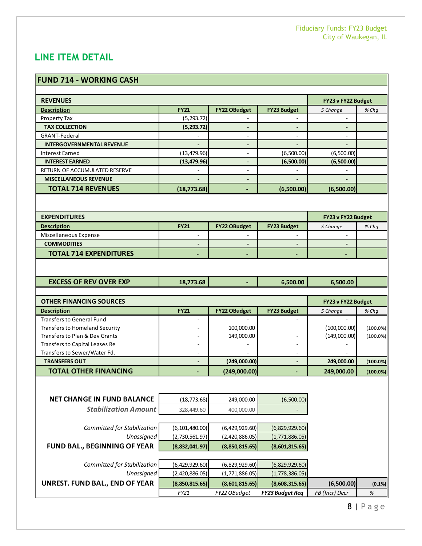#### Fiduciary Funds: FY23 Budget City of Waukegan, IL

# <span id="page-7-0"></span>**LINE ITEM DETAIL**

#### **FUND 714 - WORKING CASH**

| <b>REVENUES</b>                           |                                  |                                  |                                          | FY23 v FY22 Budget           |                |
|-------------------------------------------|----------------------------------|----------------------------------|------------------------------------------|------------------------------|----------------|
| <b>Description</b>                        | <b>FY21</b>                      | <b>FY22 OBudget</b>              | <b>FY23 Budget</b>                       | \$ Change                    | % Chq          |
| Property Tax                              | (5, 293.72)                      |                                  |                                          |                              |                |
| <b>TAX COLLECTION</b>                     | (5, 293.72)                      |                                  |                                          |                              |                |
| <b>GRANT-Federal</b>                      |                                  |                                  |                                          |                              |                |
| <b>INTERGOVERNMENTAL REVENUE</b>          |                                  | -                                |                                          |                              |                |
| <b>Interest Earned</b>                    | (13, 479.96)                     | ä,                               | (6,500.00)                               | (6,500.00)                   |                |
| <b>INTEREST EARNED</b>                    | (13, 479.96)                     | ٠                                | (6,500.00)                               | (6,500.00)                   |                |
| RETURN OF ACCUMULATED RESERVE             |                                  | ä,                               |                                          |                              |                |
| <b>MISCELLANEOUS REVENUE</b>              | $\overline{\phantom{a}}$         | $\overline{\phantom{0}}$         | $\overline{\phantom{a}}$                 | $\overline{\phantom{a}}$     |                |
| <b>TOTAL 714 REVENUES</b>                 | (18, 773.68)                     |                                  | (6,500.00)                               | (6,500.00)                   |                |
|                                           |                                  |                                  |                                          |                              |                |
| <b>EXPENDITURES</b>                       |                                  |                                  |                                          | FY23 v FY22 Budget           |                |
| <b>Description</b>                        | <b>FY21</b>                      | <b>FY22 OBudget</b>              | <b>FY23 Budget</b>                       | \$ Change                    | % Chg          |
| Miscellaneous Expense                     |                                  |                                  |                                          |                              |                |
| <b>COMMODITIES</b>                        | -                                | -                                | $\qquad \qquad \blacksquare$             | -                            |                |
| <b>TOTAL 714 EXPENDITURES</b>             |                                  |                                  |                                          |                              |                |
|                                           |                                  |                                  |                                          |                              |                |
| <b>EXCESS OF REV OVER EXP</b>             | 18,773.68                        |                                  | 6,500.00                                 | 6,500.00                     |                |
|                                           |                                  |                                  |                                          |                              |                |
|                                           |                                  |                                  |                                          |                              |                |
| <b>OTHER FINANCING SOURCES</b>            |                                  |                                  |                                          | FY23 v FY22 Budget           |                |
| <b>Description</b>                        | <b>FY21</b>                      | <b>FY22 OBudget</b>              | <b>FY23 Budget</b>                       | \$ Change                    | % Chg          |
| <b>Transfers to General Fund</b>          |                                  |                                  |                                          |                              |                |
| <b>Transfers to Homeland Security</b>     |                                  | 100,000.00                       |                                          | (100,000.00)                 | $(100.0\%)$    |
| Transfers to Plan & Dev Grants            |                                  | 149,000.00                       |                                          | (149,000.00)                 | $(100.0\%)$    |
| Transfers to Capital Leases Re            |                                  |                                  |                                          |                              |                |
| Transfers to Sewer/Water Fd.              |                                  |                                  |                                          |                              |                |
| <b>TRANSFERS OUT</b>                      |                                  | (249,000.00)                     |                                          | 249,000.00                   | (100.0%)       |
| <b>TOTAL OTHER FINANCING</b>              |                                  | (249,000.00)                     |                                          | 249,000.00                   | (100.0%)       |
|                                           |                                  |                                  |                                          |                              |                |
|                                           |                                  |                                  |                                          |                              |                |
| <b>NET CHANGE IN FUND BALANCE</b>         | (18, 773.68)                     | 249,000.00                       | (6,500.00)                               |                              |                |
| <b>Stabilization Amount</b>               | 328,449.60                       | 400,000.00                       |                                          |                              |                |
| Committed for Stabilization               | (6, 101, 480.00)                 |                                  |                                          |                              |                |
| Unassigned                                | (2,730,561.97)                   | (6,429,929.60)<br>(2,420,886.05) | (6,829,929.60)<br>(1,771,886.05)         |                              |                |
|                                           |                                  |                                  |                                          |                              |                |
| <b>FUND BAL., BEGINNING OF YEAR</b>       | (8,832,041.97)                   | (8,850,815.65)                   | (8,601,815.65)                           |                              |                |
|                                           |                                  |                                  |                                          |                              |                |
| Committed for Stabilization<br>Unassigned | (6,429,929.60)<br>(2,420,886.05) | (6,829,929.60)<br>(1,771,886.05) | (6,829,929.60)<br>(1,778,386.05)         |                              |                |
|                                           |                                  |                                  |                                          |                              |                |
| <b>UNREST. FUND BAL., END OF YEAR</b>     | (8,850,815.65)<br>FY21           | (8,601,815.65)<br>FY22 OBudget   | (8,608,315.65)<br><b>FY23 Budget Req</b> | (6,500.00)<br>FB (Incr) Decr | (0.1%)<br>$\%$ |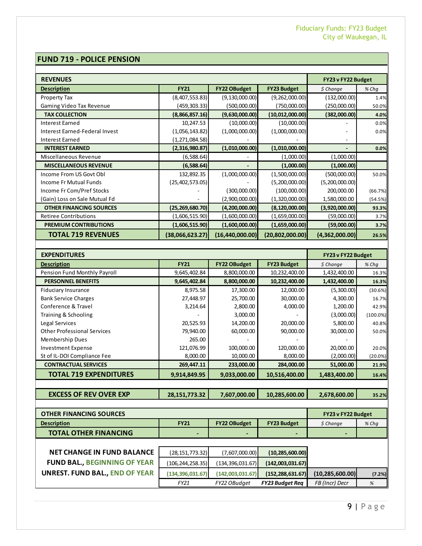#### **FUND 719 - POLICE PENSION**

| <b>REVENUES</b>                |                   |                     |                    | FY23 v FY22 Budget |         |
|--------------------------------|-------------------|---------------------|--------------------|--------------------|---------|
| <b>Description</b>             | <b>FY21</b>       | <b>FY22 OBudget</b> | <b>FY23 Budget</b> | \$ Change          | % Chg   |
| <b>Property Tax</b>            | (8,407,553.83)    | (9, 130, 000.00)    | (9,262,000.00)     | (132,000.00)       | 1.4%    |
| Gaming Video Tax Revenue       | (459, 303.33)     | (500,000.00)        | (750,000.00)       | (250,000.00)       | 50.0%   |
| <b>TAX COLLECTION</b>          | (8,866,857.16)    | (9,630,000.00)      | (10,012,000.00)    | (382,000.00)       | 4.0%    |
| <b>Interest Earned</b>         | 10,247.53         | (10,000.00)         | (10,000.00)        |                    | 0.0%    |
| Interest Earned-Federal Invest | (1,056,143.82)    | (1,000,000.00)      | (1,000,000.00)     |                    | 0.0%    |
| <b>Interest Earned</b>         | (1, 271, 084.58)  |                     |                    | $\blacksquare$     |         |
| <b>INTEREST EARNED</b>         | (2,316,980.87)    | (1,010,000.00)      | (1,010,000.00)     |                    | 0.0%    |
| Miscellaneous Revenue          | (6,588.64)        |                     | (1,000.00)         | (1,000.00)         |         |
| <b>MISCELLANEOUS REVENUE</b>   | (6,588.64)        |                     | (1,000.00)         | (1,000.00)         |         |
| Income From US Govt Obl        | 132,892.35        | (1,000,000.00)      | (1,500,000.00)     | (500,000.00)       | 50.0%   |
| Income Fr Mutual Funds         | (25,402,573.05)   |                     | (5,200,000.00)     | (5,200,000.00)     |         |
| Income Fr Com/Pref Stocks      |                   | (300,000.00)        | (100,000.00)       | 200,000.00         | (66.7%) |
| (Gain) Loss on Sale Mutual Fd  |                   | (2,900,000.00)      | (1,320,000.00)     | 1,580,000.00       | (54.5%) |
| <b>OTHER FINANCING SOURCES</b> | (25, 269, 680.70) | (4,200,000.00)      | (8, 120, 000.00)   | (3,920,000.00)     | 93.3%   |
| <b>Retiree Contributions</b>   | (1,606,515.90)    | (1,600,000.00)      | (1,659,000.00)     | (59,000.00)        | 3.7%    |
| <b>PREMIUM CONTRIBUTIONS</b>   | (1,606,515.90)    | (1,600,000.00)      | (1,659,000.00)     | (59,000.00)        | 3.7%    |
| <b>TOTAL 719 REVENUES</b>      | (38,066,623.27)   | (16,440,000.00)     | (20,802,000.00)    | (4,362,000.00)     | 26.5%   |
|                                |                   |                     |                    |                    |         |

| <b>EXPENDITURES</b>                |              |                     |                    |              | FY23 v FY22 Budget |
|------------------------------------|--------------|---------------------|--------------------|--------------|--------------------|
| <b>Description</b>                 | <b>FY21</b>  | <b>FY22 OBudget</b> | <b>FY23 Budget</b> | \$ Change    | % Chq              |
| Pension Fund Monthly Payroll       | 9,645,402.84 | 8,800,000.00        | 10,232,400.00      | 1,432,400.00 | 16.3%              |
| <b>PERSONNEL BENEFITS</b>          | 9,645,402.84 | 8,800,000.00        | 10,232,400.00      | 1,432,400.00 | 16.3%              |
| <b>Fiduciary Insurance</b>         | 8,975.58     | 17,300.00           | 12,000.00          | (5,300.00)   | (30.6%)            |
| <b>Bank Service Charges</b>        | 27,448.97    | 25,700.00           | 30,000.00          | 4,300.00     | 16.7%              |
| Conference & Travel                | 3,214.64     | 2,800.00            | 4,000.00           | 1,200.00     | 42.9%              |
| Training & Schooling               |              | 3,000.00            |                    | (3,000.00)   | $(100.0\%)$        |
| Legal Services                     | 20,525.93    | 14,200.00           | 20,000.00          | 5,800.00     | 40.8%              |
| <b>Other Professional Services</b> | 79,940.00    | 60,000.00           | 90,000.00          | 30,000.00    | 50.0%              |
| Membership Dues                    | 265.00       |                     |                    |              |                    |
| <b>Investment Expense</b>          | 121,076.99   | 100,000.00          | 120,000.00         | 20,000.00    | 20.0%              |
| St of IL-DOI Compliance Fee        | 8,000.00     | 10,000.00           | 8,000.00           | (2,000.00)   | $(20.0\%)$         |
| <b>CONTRACTUAL SERVICES</b>        | 269,447.11   | 233,000.00          | 284,000.00         | 51,000.00    | 21.9%              |
| <b>TOTAL 719 EXPENDITURES</b>      | 9,914,849.95 | 9,033,000.00        | 10,516,400.00      | 1,483,400.00 | 16.4%              |
|                                    |              |                     |                    |              |                    |

**EXCESS OF REV OVER EXP 28,151,773.32 7,607,000.00 10,285,600.00 2,678,600.00 35.2%**

| <b>OTHER FINANCING SOURCES</b>        | FY23 v FY22 Budget |                     |                        |                   |         |
|---------------------------------------|--------------------|---------------------|------------------------|-------------------|---------|
| <b>Description</b>                    | <b>FY21</b>        | <b>FY22 OBudget</b> | <b>FY23 Budget</b>     | \$ Change         | $%$ Chq |
| <b>TOTAL OTHER FINANCING</b>          |                    | -                   |                        |                   |         |
|                                       |                    |                     |                        |                   |         |
| <b>NET CHANGE IN FUND BALANCE</b>     | (28, 151, 773.32)  | (7,607,000.00)      | (10, 285, 600.00)      |                   |         |
| <b>FUND BAL., BEGINNING OF YEAR</b>   | (106,244,258.35)   | (134,396,031.67)    | (142,003,031.67)       |                   |         |
| <b>UNREST. FUND BAL., END OF YEAR</b> | (134, 396, 031.67) | (142,003,031.67)    | (152, 288, 631.67)     | (10, 285, 600.00) | (7.2%)  |
|                                       | FY21               | FY22 OBudget        | <b>FY23 Budget Reg</b> | FB (Incr) Decr    | %       |